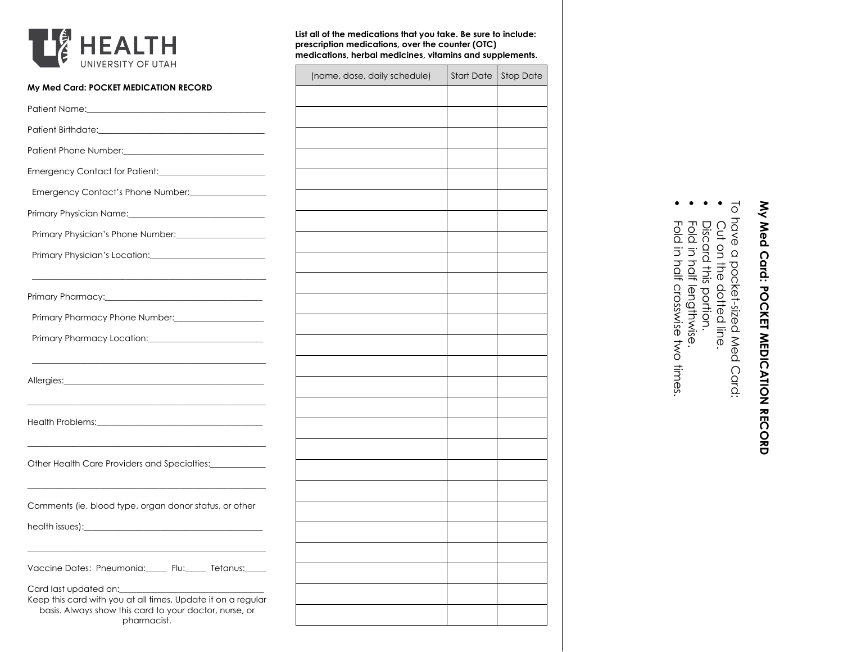

| My Med Card: POCKET MEDICATION RECORD                                                                                                            |  |  |
|--------------------------------------------------------------------------------------------------------------------------------------------------|--|--|
| Patient Name: Name and Secretary Annual Accounts and Accounts are also also believes and accounts are also believes                              |  |  |
|                                                                                                                                                  |  |  |
|                                                                                                                                                  |  |  |
| Emergency Contact for Patient:<br><u>[</u> [11] Denotional Property Contact for Patient:<br><u>[11] Denotional Property</u> Contact for Patient: |  |  |
| Emergency Contact's Phone Number:                                                                                                                |  |  |
| Primary Physician Name: 2008 - 2010 - 2021 - 2022 - 2022 - 2022 - 2022 - 2022 - 2023 - 2023 - 2023 - 2023 - 20                                   |  |  |
| Primary Physician's Phone Number: 2008. [19] Primary Physician's Phone Number:                                                                   |  |  |
|                                                                                                                                                  |  |  |
|                                                                                                                                                  |  |  |
|                                                                                                                                                  |  |  |
|                                                                                                                                                  |  |  |
|                                                                                                                                                  |  |  |
|                                                                                                                                                  |  |  |
|                                                                                                                                                  |  |  |
| Other Health Care Providers and Specialties:____________                                                                                         |  |  |
|                                                                                                                                                  |  |  |
| Comments (ie, blood type, organ donor status, or other                                                                                           |  |  |
|                                                                                                                                                  |  |  |
|                                                                                                                                                  |  |  |
| Vaccine Dates: Pneumonia:_____ Flu:_____ Tetanus:____                                                                                            |  |  |
| Card last updated on:<br>Keep this card with you at all times. Update it on a regular<br>basis. Always show this card to your doctor, nurse, or  |  |  |
| pharmacist.                                                                                                                                      |  |  |

**List all of the medications that you take. Be sure to include:** 

**medications, herbal medicines, vitamins and supplements.**

(name, dose, daily schedule)  $\Big|$  Start Date Stop Date

**prescription medications, over the counter (OTC)** 

## My Med Card: POCKET MEDICATION RECORD **My Med Card: POCKET MEDICATION RECORD**

To have a pocket-sized Med Card:

- Cut on the dotted line.
- Discard this portion.
- Fold in half lengthwise.
- $\bullet\bullet\bullet\bullet$ Fold in half crosswise two times.